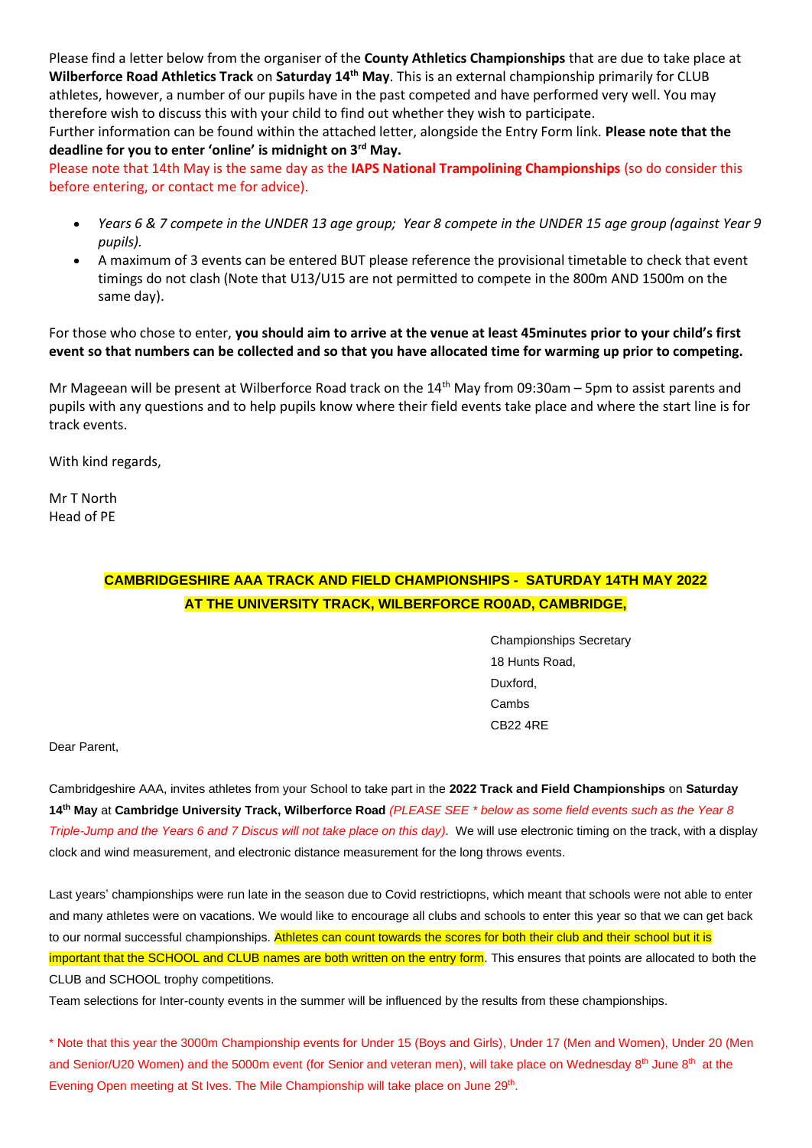Please find a letter below from the organiser of the **County Athletics Championships** that are due to take place at **Wilberforce Road Athletics Track** on **Saturday 14th May**. This is an external championship primarily for CLUB athletes, however, a number of our pupils have in the past competed and have performed very well. You may therefore wish to discuss this with your child to find out whether they wish to participate.

Further information can be found within the attached letter, alongside the Entry Form link. **Please note that the deadline for you to enter 'online' is midnight on 3rd May.**

Please note that 14th May is the same day as the **IAPS National Trampolining Championships** (so do consider this before entering, or contact me for advice).

- *Years 6 & 7 compete in the UNDER 13 age group; Year 8 compete in the UNDER 15 age group (against Year 9 pupils).*
- A maximum of 3 events can be entered BUT please reference the provisional timetable to check that event timings do not clash (Note that U13/U15 are not permitted to compete in the 800m AND 1500m on the same day).

For those who chose to enter, **you should aim to arrive at the venue at least 45minutes prior to your child's first event so that numbers can be collected and so that you have allocated time for warming up prior to competing.** 

Mr Mageean will be present at Wilberforce Road track on the 14<sup>th</sup> May from 09:30am – 5pm to assist parents and pupils with any questions and to help pupils know where their field events take place and where the start line is for track events.

With kind regards,

Mr T North Head of PE

## **CAMBRIDGESHIRE AAA TRACK AND FIELD CHAMPIONSHIPS - SATURDAY 14TH MAY 2022 AT THE UNIVERSITY TRACK, WILBERFORCE RO0AD, CAMBRIDGE,**

Championships Secretary 18 Hunts Road, Duxford, Cambs CB22 4RE

Dear Parent,

Cambridgeshire AAA, invites athletes from your School to take part in the **2022 Track and Field Championships** on **Saturday 14 th May** at **Cambridge University Track, Wilberforce Road** *(PLEASE SEE \* below as some field events such as the Year 8 Triple-Jump and the Years 6 and 7 Discus will not take place on this day)*. We will use electronic timing on the track, with a display clock and wind measurement, and electronic distance measurement for the long throws events.

Last years' championships were run late in the season due to Covid restrictiopns, which meant that schools were not able to enter and many athletes were on vacations. We would like to encourage all clubs and schools to enter this year so that we can get back to our normal successful championships. Athletes can count towards the scores for both their club and their school but it is important that the SCHOOL and CLUB names are both written on the entry form. This ensures that points are allocated to both the CLUB and SCHOOL trophy competitions.

Team selections for Inter-county events in the summer will be influenced by the results from these championships.

\* Note that this year the 3000m Championship events for Under 15 (Boys and Girls), Under 17 (Men and Women), Under 20 (Men and Senior/U20 Women) and the 5000m event (for Senior and veteran men), will take place on Wednesday  $8<sup>th</sup>$  June  $8<sup>th</sup>$  at the Evening Open meeting at St Ives. The Mile Championship will take place on June 29<sup>th</sup>.